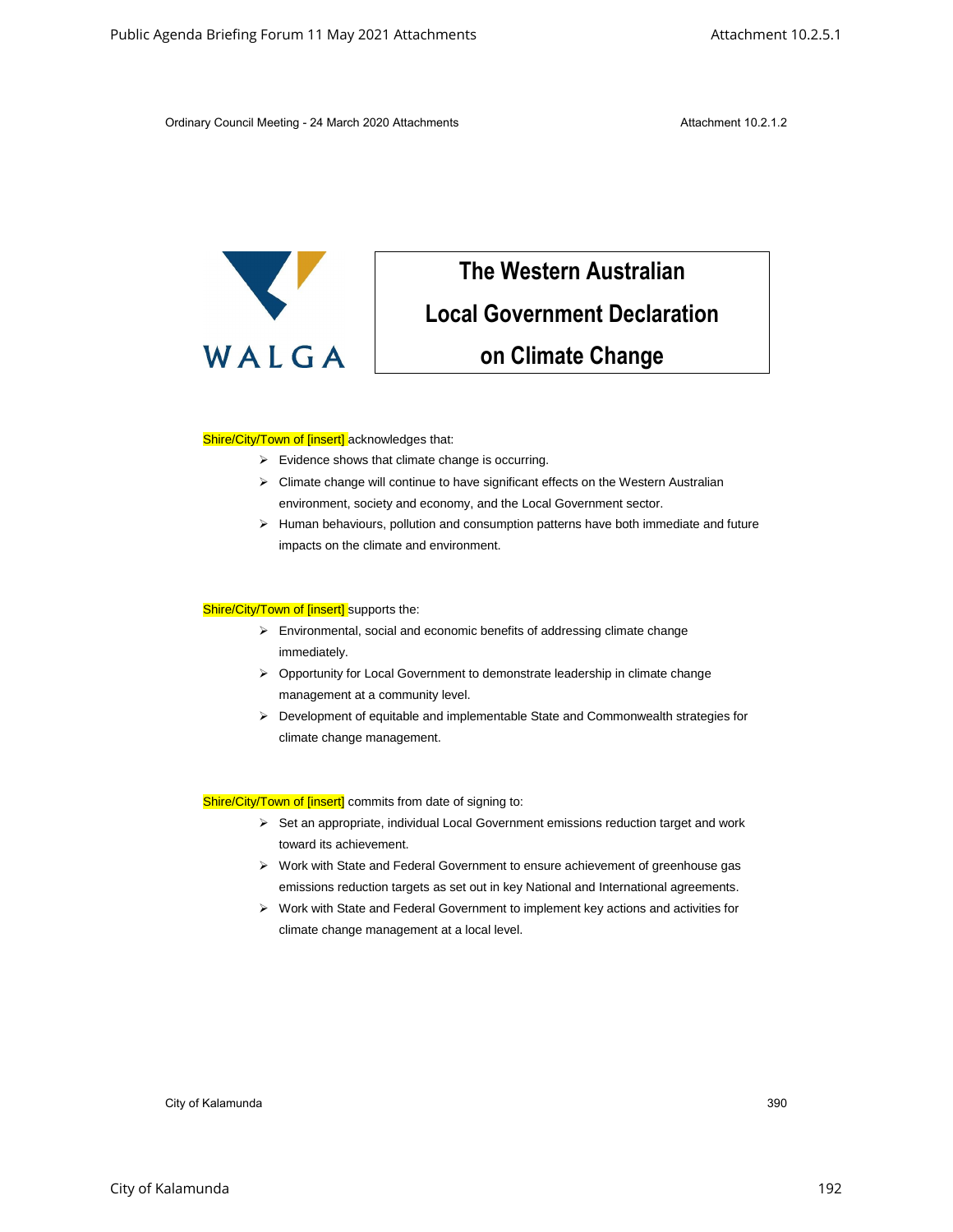Ordinary Council Meeting - 24 March 2020 Attachments **Attachment 10.2.1.2** Attachment 10.2.1.2



## **The Western Australian Local Government Declaration on Climate Change** Colorid Strelling Forum 11 May 2021 Attachments Attachment 10.2.5.1<br>
Critical Correlation Correlation Correlation Correlation Correlation Correlation Correlation Correlation Correlation Correlation Correlation Correlation

## Shire/City/Town of [insert] acknowledges that:

- ➢ Evidence shows that climate change is occurring.
- ➢ Climate change will continue to have significant effects on the Western Australian environment, society and economy, and the Local Government sector.
- ➢ Human behaviours, pollution and consumption patterns have both immediate and future impacts on the climate and environment.

## Shire/City/Town of [insert] supports the:

- ➢ Environmental, social and economic benefits of addressing climate change immediately.
- ➢ Opportunity for Local Government to demonstrate leadership in climate change management at a community level.
- ➢ Development of equitable and implementable State and Commonwealth strategies for climate change management.

Shire/City/Town of [insert] commits from date of signing to:

- ➢ Set an appropriate, individual Local Government emissions reduction target and work toward its achievement.
- ➢ Work with State and Federal Government to ensure achievement of greenhouse gas emissions reduction targets as set out in key National and International agreements.
- ➢ Work with State and Federal Government to implement key actions and activities for climate change management at a local level.